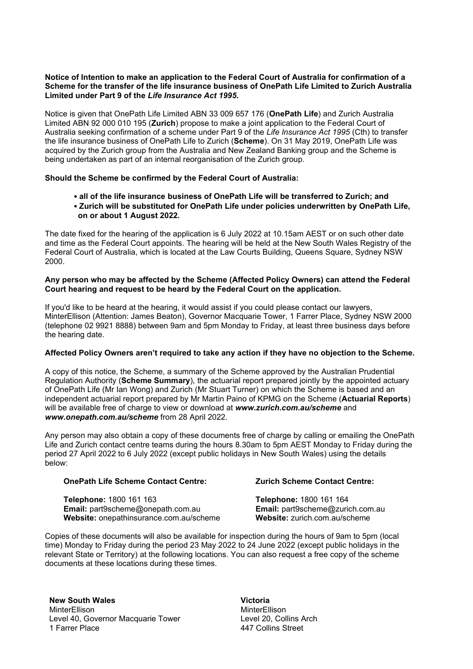## **Notice of Intention to make an application to the Federal Court of Australia for confirmation of a Scheme for the transfer of the life insurance business of OnePath Life Limited to Zurich Australia Limited under Part 9 of the** *Life Insurance Act 1995.*

Notice is given that OnePath Life Limited ABN 33 009 657 176 (**OnePath Life**) and Zurich Australia Limited ABN 92 000 010 195 (**Zurich**) propose to make a joint application to the Federal Court of Australia seeking confirmation of a scheme under Part 9 of the *Life Insurance Act 1995* (Cth) to transfer the life insurance business of OnePath Life to Zurich (**Scheme**). On 31 May 2019, OnePath Life was acquired by the Zurich group from the Australia and New Zealand Banking group and the Scheme is being undertaken as part of an internal reorganisation of the Zurich group.

## **Should the Scheme be confirmed by the Federal Court of Australia:**

- **all of the life insurance business of OnePath Life will be transferred to Zurich; and**
- **Zurich will be substituted for OnePath Life under policies underwritten by OnePath Life, on or about 1 August 2022.**

The date fixed for the hearing of the application is 6 July 2022 at 10.15am AEST or on such other date and time as the Federal Court appoints. The hearing will be held at the New South Wales Registry of the Federal Court of Australia, which is located at the Law Courts Building, Queens Square, Sydney NSW 2000.

## **Any person who may be affected by the Scheme (Affected Policy Owners) can attend the Federal Court hearing and request to be heard by the Federal Court on the application.**

If you'd like to be heard at the hearing, it would assist if you could please contact our lawyers, MinterEllison (Attention: James Beaton), Governor Macquarie Tower, 1 Farrer Place, Sydney NSW 2000 (telephone 02 9921 8888) between 9am and 5pm Monday to Friday, at least three business days before the hearing date.

## **Affected Policy Owners aren't required to take any action if they have no objection to the Scheme.**

A copy of this notice, the Scheme, a summary of the Scheme approved by the Australian Prudential Regulation Authority (**Scheme Summary**), the actuarial report prepared jointly by the appointed actuary of OnePath Life (Mr Ian Wong) and Zurich (Mr Stuart Turner) on which the Scheme is based and an independent actuarial report prepared by Mr Martin Paino of KPMG on the Scheme (**Actuarial Reports**) will be available free of charge to view or download at *www.zurich.com.au/scheme* and *www.onepath.com.au/scheme* from 28 April 2022.

Any person may also obtain a copy of these documents free of charge by calling or emailing the OnePath Life and Zurich contact centre teams during the hours 8.30am to 5pm AEST Monday to Friday during the period 27 April 2022 to 6 July 2022 (except public holidays in New South Wales) using the details below:

### **OnePath Life Scheme Contact Centre:**

**Telephone:** 1800 161 163 **Email:** part9scheme@onepath.com.au **Website:** onepathinsurance.com.au/scheme

# **Zurich Scheme Contact Centre:**

**Telephone:** 1800 161 164 **Email:** part9scheme@zurich.com.au **Website:** zurich.com.au/scheme

Copies of these documents will also be available for inspection during the hours of 9am to 5pm (local time) Monday to Friday during the period 23 May 2022 to 24 June 2022 (except public holidays in the relevant State or Territory) at the following locations. You can also request a free copy of the scheme documents at these locations during these times.

**New South Wales** MinterEllison Level 40, Governor Macquarie Tower 1 Farrer Place

**Victoria** MinterEllison Level 20, Collins Arch 447 Collins Street